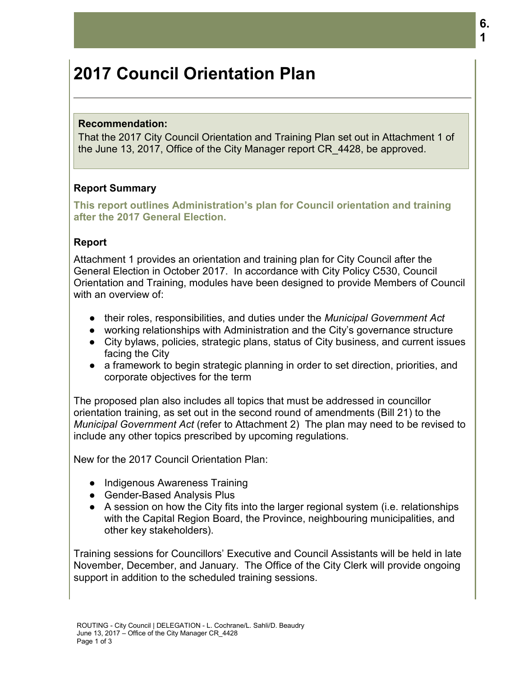# **2017 Council Orientation Plan**

#### **Recommendation:**

That the 2017 City Council Orientation and Training Plan set out in Attachment 1 of the June 13, 2017, Office of the City Manager report CR\_4428, be approved.

## **Report Summary**

**This report outlines Administration's plan for Council orientation and training after the 2017 General Election.** 

#### **Report**

Attachment 1 provides an orientation and training plan for City Council after the General Election in October 2017. In accordance with City Policy C530, Council Orientation and Training, modules have been designed to provide Members of Council with an overview of:

- their roles, responsibilities, and duties under the *Municipal Government Act*
- working relationships with Administration and the City's governance structure
- City bylaws, policies, strategic plans, status of City business, and current issues facing the City
- a framework to begin strategic planning in order to set direction, priorities, and corporate objectives for the term

The proposed plan also includes all topics that must be addressed in councillor orientation training, as set out in the second round of amendments (Bill 21) to the *Municipal Government Act* (refer to Attachment 2) The plan may need to be revised to include any other topics prescribed by upcoming regulations.

New for the 2017 Council Orientation Plan:

- Indigenous Awareness Training
- Gender-Based Analysis Plus
- A session on how the City fits into the larger regional system (i.e. relationships with the Capital Region Board, the Province, neighbouring municipalities, and other key stakeholders).

Training sessions for Councillors' Executive and Council Assistants will be held in late November, December, and January. The Office of the City Clerk will provide ongoing support in addition to the scheduled training sessions.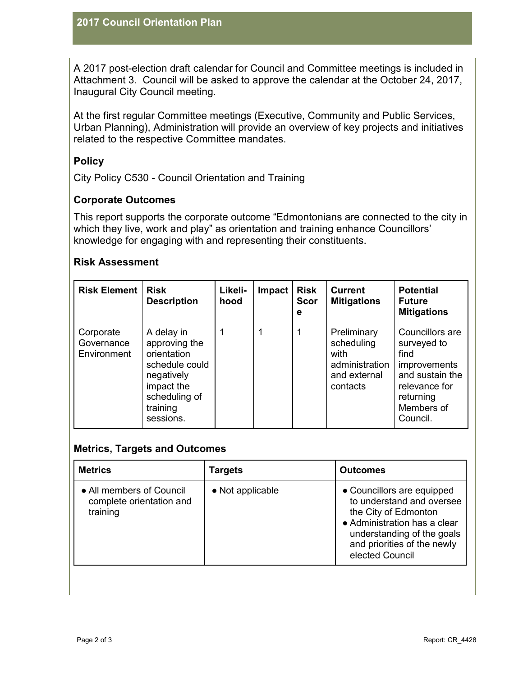A 2017 post-election draft calendar for Council and Committee meetings is included in Attachment 3. Council will be asked to approve the calendar at the October 24, 2017, Inaugural City Council meeting.

At the first regular Committee meetings (Executive, Community and Public Services, Urban Planning), Administration will provide an overview of key projects and initiatives related to the respective Committee mandates.

# **Policy**

City Policy C530 - Council Orientation and Training

# **Corporate Outcomes**

This report supports the corporate outcome "Edmontonians are connected to the city in which they live, work and play" as orientation and training enhance Councillors' knowledge for engaging with and representing their constituents.

#### **Risk Assessment**

| <b>Risk Element</b>                    | Risk<br><b>Description</b>                                                                                                         | Likeli-<br>hood | Impact | <b>Risk</b><br><b>Scor</b><br>е | <b>Current</b><br><b>Mitigations</b>                                            | <b>Potential</b><br><b>Future</b><br><b>Mitigations</b>                                                                           |
|----------------------------------------|------------------------------------------------------------------------------------------------------------------------------------|-----------------|--------|---------------------------------|---------------------------------------------------------------------------------|-----------------------------------------------------------------------------------------------------------------------------------|
| Corporate<br>Governance<br>Environment | A delay in<br>approving the<br>orientation<br>schedule could<br>negatively<br>impact the<br>scheduling of<br>training<br>sessions. |                 |        |                                 | Preliminary<br>scheduling<br>with<br>administration<br>and external<br>contacts | Councillors are<br>surveyed to<br>find<br>improvements<br>and sustain the<br>relevance for<br>returning<br>Members of<br>Council. |

## **Metrics, Targets and Outcomes**

| <b>Metrics</b>                                                   | <b>Targets</b>   | <b>Outcomes</b>                                                                                                                                                                                 |
|------------------------------------------------------------------|------------------|-------------------------------------------------------------------------------------------------------------------------------------------------------------------------------------------------|
| • All members of Council<br>complete orientation and<br>training | • Not applicable | • Councillors are equipped<br>to understand and oversee<br>the City of Edmonton<br>• Administration has a clear<br>understanding of the goals<br>and priorities of the newly<br>elected Council |